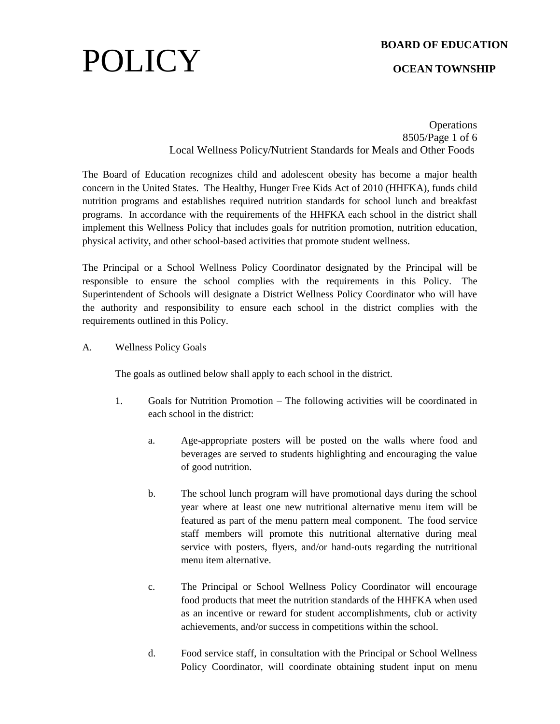## POLICY

## **BOARD OF EDUCATION**

## **OCEAN TOWNSHIP**

**Operations** 8505/Page 1 of 6 Local Wellness Policy/Nutrient Standards for Meals and Other Foods

The Board of Education recognizes child and adolescent obesity has become a major health concern in the United States. The Healthy, Hunger Free Kids Act of 2010 (HHFKA), funds child nutrition programs and establishes required nutrition standards for school lunch and breakfast programs. In accordance with the requirements of the HHFKA each school in the district shall implement this Wellness Policy that includes goals for nutrition promotion, nutrition education, physical activity, and other school-based activities that promote student wellness.

The Principal or a School Wellness Policy Coordinator designated by the Principal will be responsible to ensure the school complies with the requirements in this Policy. The Superintendent of Schools will designate a District Wellness Policy Coordinator who will have the authority and responsibility to ensure each school in the district complies with the requirements outlined in this Policy.

A. Wellness Policy Goals

The goals as outlined below shall apply to each school in the district.

- 1. Goals for Nutrition Promotion The following activities will be coordinated in each school in the district:
	- a. Age-appropriate posters will be posted on the walls where food and beverages are served to students highlighting and encouraging the value of good nutrition.
	- b. The school lunch program will have promotional days during the school year where at least one new nutritional alternative menu item will be featured as part of the menu pattern meal component. The food service staff members will promote this nutritional alternative during meal service with posters, flyers, and/or hand-outs regarding the nutritional menu item alternative.
	- c. The Principal or School Wellness Policy Coordinator will encourage food products that meet the nutrition standards of the HHFKA when used as an incentive or reward for student accomplishments, club or activity achievements, and/or success in competitions within the school.
	- d. Food service staff, in consultation with the Principal or School Wellness Policy Coordinator, will coordinate obtaining student input on menu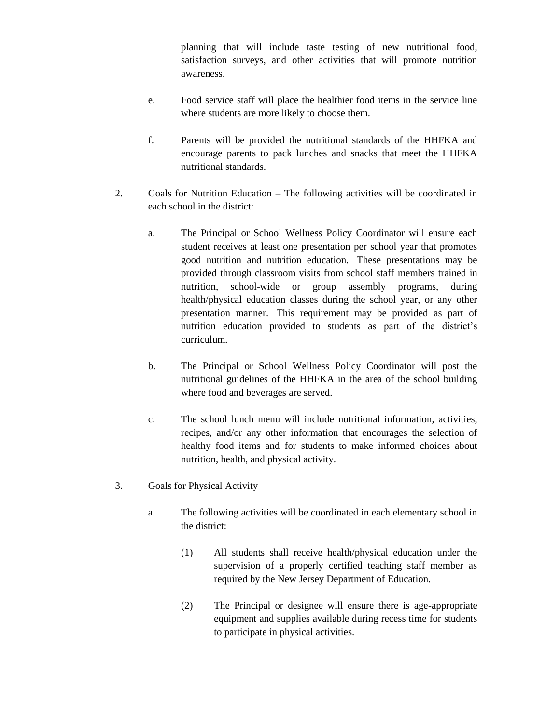planning that will include taste testing of new nutritional food, satisfaction surveys, and other activities that will promote nutrition awareness.

- e. Food service staff will place the healthier food items in the service line where students are more likely to choose them.
- f. Parents will be provided the nutritional standards of the HHFKA and encourage parents to pack lunches and snacks that meet the HHFKA nutritional standards.
- 2. Goals for Nutrition Education The following activities will be coordinated in each school in the district:
	- a. The Principal or School Wellness Policy Coordinator will ensure each student receives at least one presentation per school year that promotes good nutrition and nutrition education. These presentations may be provided through classroom visits from school staff members trained in nutrition, school-wide or group assembly programs, during health/physical education classes during the school year, or any other presentation manner. This requirement may be provided as part of nutrition education provided to students as part of the district's curriculum.
	- b. The Principal or School Wellness Policy Coordinator will post the nutritional guidelines of the HHFKA in the area of the school building where food and beverages are served.
	- c. The school lunch menu will include nutritional information, activities, recipes, and/or any other information that encourages the selection of healthy food items and for students to make informed choices about nutrition, health, and physical activity.
- 3. Goals for Physical Activity
	- a. The following activities will be coordinated in each elementary school in the district:
		- (1) All students shall receive health/physical education under the supervision of a properly certified teaching staff member as required by the New Jersey Department of Education.
		- (2) The Principal or designee will ensure there is age-appropriate equipment and supplies available during recess time for students to participate in physical activities.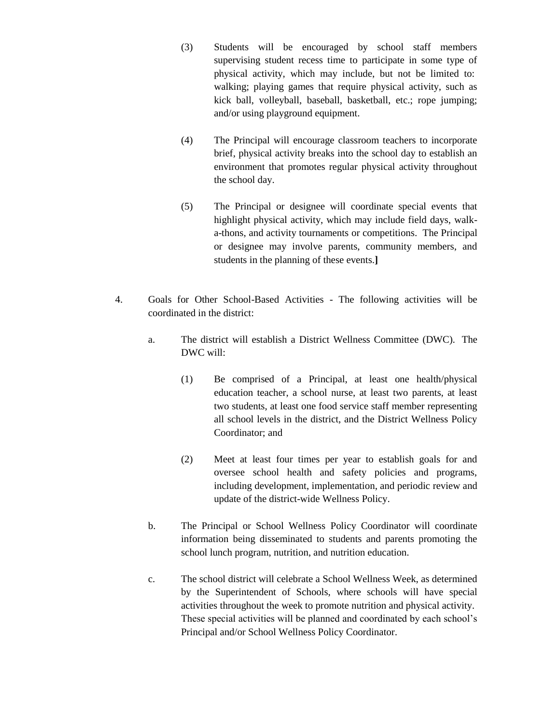- (3) Students will be encouraged by school staff members supervising student recess time to participate in some type of physical activity, which may include, but not be limited to: walking; playing games that require physical activity, such as kick ball, volleyball, baseball, basketball, etc.; rope jumping; and/or using playground equipment.
- (4) The Principal will encourage classroom teachers to incorporate brief, physical activity breaks into the school day to establish an environment that promotes regular physical activity throughout the school day.
- (5) The Principal or designee will coordinate special events that highlight physical activity, which may include field days, walka-thons, and activity tournaments or competitions. The Principal or designee may involve parents, community members, and students in the planning of these events.**]**
- 4. Goals for Other School-Based Activities The following activities will be coordinated in the district:
	- a. The district will establish a District Wellness Committee (DWC). The DWC will:
		- (1) Be comprised of a Principal, at least one health/physical education teacher, a school nurse, at least two parents, at least two students, at least one food service staff member representing all school levels in the district, and the District Wellness Policy Coordinator; and
		- (2) Meet at least four times per year to establish goals for and oversee school health and safety policies and programs, including development, implementation, and periodic review and update of the district-wide Wellness Policy.
	- b. The Principal or School Wellness Policy Coordinator will coordinate information being disseminated to students and parents promoting the school lunch program, nutrition, and nutrition education.
	- c. The school district will celebrate a School Wellness Week, as determined by the Superintendent of Schools, where schools will have special activities throughout the week to promote nutrition and physical activity. These special activities will be planned and coordinated by each school's Principal and/or School Wellness Policy Coordinator.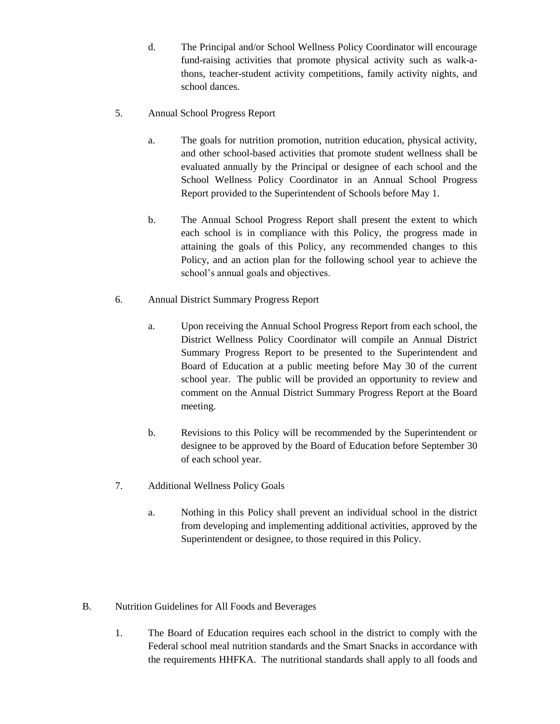- d. The Principal and/or School Wellness Policy Coordinator will encourage fund-raising activities that promote physical activity such as walk-athons, teacher-student activity competitions, family activity nights, and school dances.
- 5. Annual School Progress Report
	- a. The goals for nutrition promotion, nutrition education, physical activity, and other school-based activities that promote student wellness shall be evaluated annually by the Principal or designee of each school and the School Wellness Policy Coordinator in an Annual School Progress Report provided to the Superintendent of Schools before May 1.
	- b. The Annual School Progress Report shall present the extent to which each school is in compliance with this Policy, the progress made in attaining the goals of this Policy, any recommended changes to this Policy, and an action plan for the following school year to achieve the school's annual goals and objectives.
- 6. Annual District Summary Progress Report
	- a. Upon receiving the Annual School Progress Report from each school, the District Wellness Policy Coordinator will compile an Annual District Summary Progress Report to be presented to the Superintendent and Board of Education at a public meeting before May 30 of the current school year. The public will be provided an opportunity to review and comment on the Annual District Summary Progress Report at the Board meeting.
	- b. Revisions to this Policy will be recommended by the Superintendent or designee to be approved by the Board of Education before September 30 of each school year.
- 7. Additional Wellness Policy Goals
	- a. Nothing in this Policy shall prevent an individual school in the district from developing and implementing additional activities, approved by the Superintendent or designee, to those required in this Policy.
- B. Nutrition Guidelines for All Foods and Beverages
	- 1. The Board of Education requires each school in the district to comply with the Federal school meal nutrition standards and the Smart Snacks in accordance with the requirements HHFKA. The nutritional standards shall apply to all foods and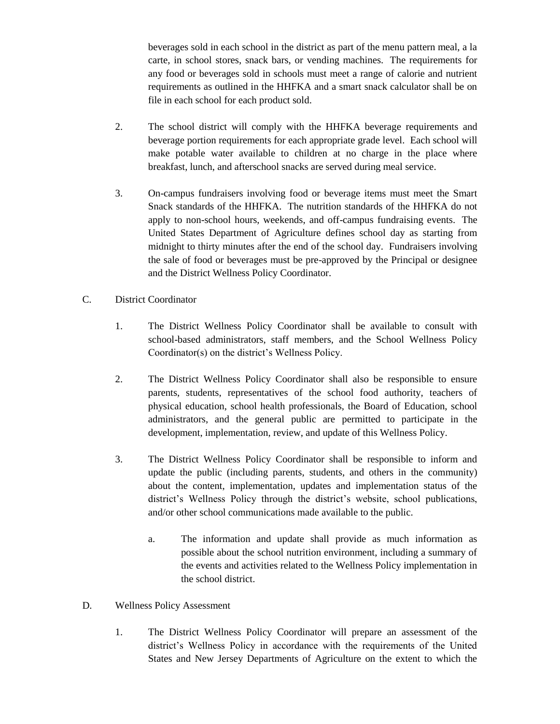beverages sold in each school in the district as part of the menu pattern meal, a la carte, in school stores, snack bars, or vending machines. The requirements for any food or beverages sold in schools must meet a range of calorie and nutrient requirements as outlined in the HHFKA and a smart snack calculator shall be on file in each school for each product sold.

- 2. The school district will comply with the HHFKA beverage requirements and beverage portion requirements for each appropriate grade level. Each school will make potable water available to children at no charge in the place where breakfast, lunch, and afterschool snacks are served during meal service.
- 3. On-campus fundraisers involving food or beverage items must meet the Smart Snack standards of the HHFKA. The nutrition standards of the HHFKA do not apply to non-school hours, weekends, and off-campus fundraising events. The United States Department of Agriculture defines school day as starting from midnight to thirty minutes after the end of the school day. Fundraisers involving the sale of food or beverages must be pre-approved by the Principal or designee and the District Wellness Policy Coordinator.
- C. District Coordinator
	- 1. The District Wellness Policy Coordinator shall be available to consult with school-based administrators, staff members, and the School Wellness Policy Coordinator(s) on the district's Wellness Policy.
	- 2. The District Wellness Policy Coordinator shall also be responsible to ensure parents, students, representatives of the school food authority, teachers of physical education, school health professionals, the Board of Education, school administrators, and the general public are permitted to participate in the development, implementation, review, and update of this Wellness Policy.
	- 3. The District Wellness Policy Coordinator shall be responsible to inform and update the public (including parents, students, and others in the community) about the content, implementation, updates and implementation status of the district's Wellness Policy through the district's website, school publications, and/or other school communications made available to the public.
		- a. The information and update shall provide as much information as possible about the school nutrition environment, including a summary of the events and activities related to the Wellness Policy implementation in the school district.
- D. Wellness Policy Assessment
	- 1. The District Wellness Policy Coordinator will prepare an assessment of the district's Wellness Policy in accordance with the requirements of the United States and New Jersey Departments of Agriculture on the extent to which the